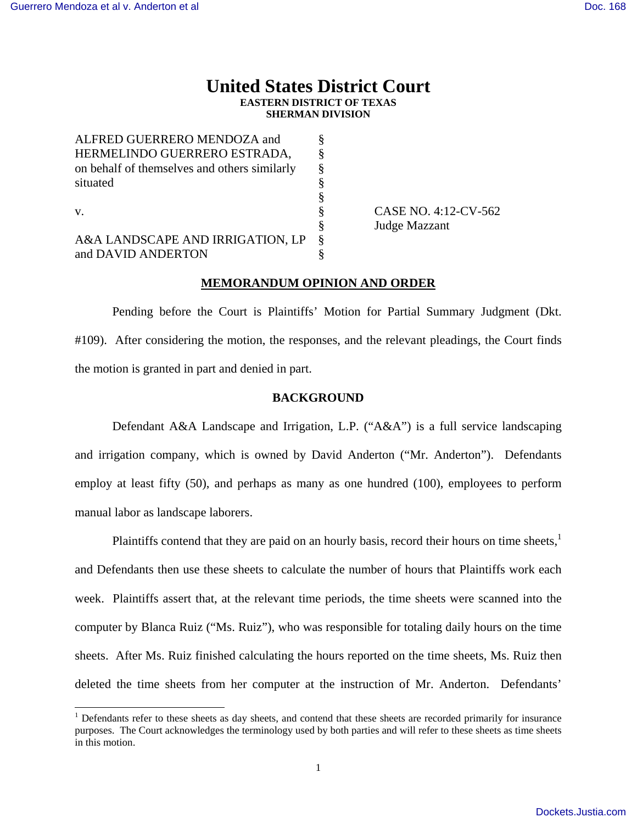$\overline{a}$ 

# **United States District Court EASTERN DISTRICT OF TEXAS SHERMAN DIVISION**

| ALFRED GUERRERO MENDOZA and                  |   |
|----------------------------------------------|---|
| HERMELINDO GUERRERO ESTRADA,                 | 8 |
| on behalf of themselves and others similarly | 8 |
| situated                                     |   |
|                                              | ş |
| $V_{-}$                                      | ş |
|                                              | ş |
| A&A LANDSCAPE AND IRRIGATION, LP             | 8 |
| and DAVID ANDERTON                           |   |

CASE NO. 4:12-CV-562 Judge Mazzant

## **MEMORANDUM OPINION AND ORDER**

 Pending before the Court is Plaintiffs' Motion for Partial Summary Judgment (Dkt. #109). After considering the motion, the responses, and the relevant pleadings, the Court finds the motion is granted in part and denied in part.

#### **BACKGROUND**

 Defendant A&A Landscape and Irrigation, L.P. ("A&A") is a full service landscaping and irrigation company, which is owned by David Anderton ("Mr. Anderton"). Defendants employ at least fifty (50), and perhaps as many as one hundred (100), employees to perform manual labor as landscape laborers.

Plaintiffs contend that they are paid on an hourly basis, record their hours on time sheets, $<sup>1</sup>$ </sup> and Defendants then use these sheets to calculate the number of hours that Plaintiffs work each week. Plaintiffs assert that, at the relevant time periods, the time sheets were scanned into the computer by Blanca Ruiz ("Ms. Ruiz"), who was responsible for totaling daily hours on the time sheets. After Ms. Ruiz finished calculating the hours reported on the time sheets, Ms. Ruiz then deleted the time sheets from her computer at the instruction of Mr. Anderton. Defendants'

<sup>&</sup>lt;sup>1</sup> Defendants refer to these sheets as day sheets, and contend that these sheets are recorded primarily for insurance purposes. The Court acknowledges the terminology used by both parties and will refer to these sheets as time sheets in this motion.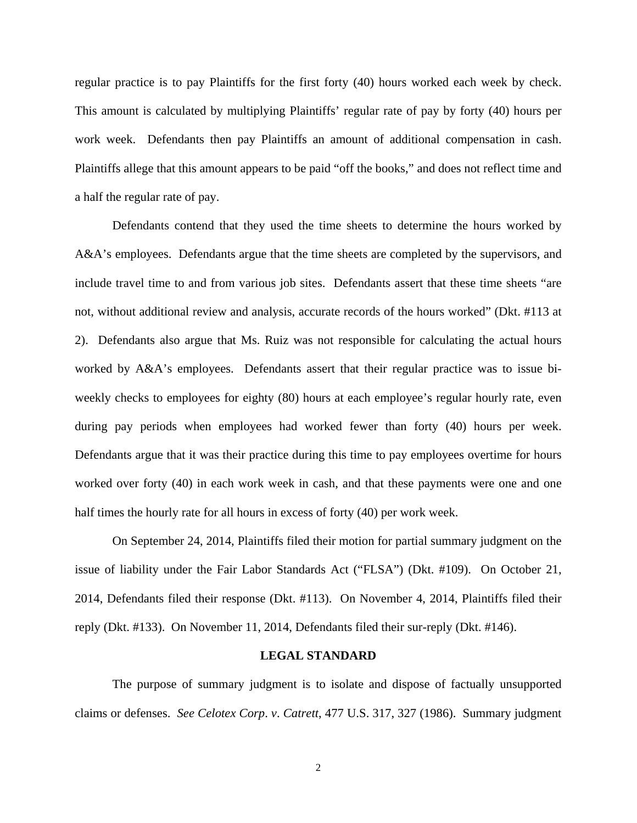regular practice is to pay Plaintiffs for the first forty (40) hours worked each week by check. This amount is calculated by multiplying Plaintiffs' regular rate of pay by forty (40) hours per work week. Defendants then pay Plaintiffs an amount of additional compensation in cash. Plaintiffs allege that this amount appears to be paid "off the books," and does not reflect time and a half the regular rate of pay.

 Defendants contend that they used the time sheets to determine the hours worked by A&A's employees. Defendants argue that the time sheets are completed by the supervisors, and include travel time to and from various job sites. Defendants assert that these time sheets "are not, without additional review and analysis, accurate records of the hours worked" (Dkt. #113 at 2). Defendants also argue that Ms. Ruiz was not responsible for calculating the actual hours worked by A&A's employees. Defendants assert that their regular practice was to issue biweekly checks to employees for eighty (80) hours at each employee's regular hourly rate, even during pay periods when employees had worked fewer than forty (40) hours per week. Defendants argue that it was their practice during this time to pay employees overtime for hours worked over forty (40) in each work week in cash, and that these payments were one and one half times the hourly rate for all hours in excess of forty (40) per work week.

 On September 24, 2014, Plaintiffs filed their motion for partial summary judgment on the issue of liability under the Fair Labor Standards Act ("FLSA") (Dkt. #109). On October 21, 2014, Defendants filed their response (Dkt. #113). On November 4, 2014, Plaintiffs filed their reply (Dkt. #133). On November 11, 2014, Defendants filed their sur-reply (Dkt. #146).

#### **LEGAL STANDARD**

 The purpose of summary judgment is to isolate and dispose of factually unsupported claims or defenses. *See Celotex Corp*. *v*. *Catrett*, 477 U.S. 317, 327 (1986). Summary judgment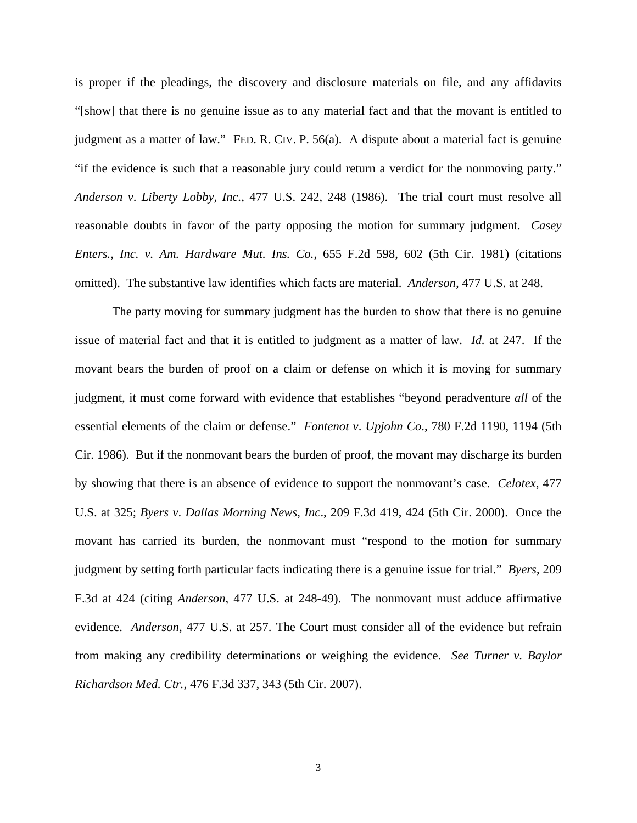is proper if the pleadings, the discovery and disclosure materials on file, and any affidavits "[show] that there is no genuine issue as to any material fact and that the movant is entitled to judgment as a matter of law." FED. R. CIV. P. 56(a). A dispute about a material fact is genuine "if the evidence is such that a reasonable jury could return a verdict for the nonmoving party." *Anderson v*. *Liberty Lobby, Inc.*, 477 U.S. 242, 248 (1986). The trial court must resolve all reasonable doubts in favor of the party opposing the motion for summary judgment. *Casey Enters., Inc. v. Am. Hardware Mut. Ins. Co.*, 655 F.2d 598, 602 (5th Cir. 1981) (citations omitted). The substantive law identifies which facts are material. *Anderson,* 477 U.S. at 248.

The party moving for summary judgment has the burden to show that there is no genuine issue of material fact and that it is entitled to judgment as a matter of law. *Id.* at 247. If the movant bears the burden of proof on a claim or defense on which it is moving for summary judgment, it must come forward with evidence that establishes "beyond peradventure *all* of the essential elements of the claim or defense." *Fontenot v*. *Upjohn Co*., 780 F.2d 1190, 1194 (5th Cir. 1986). But if the nonmovant bears the burden of proof, the movant may discharge its burden by showing that there is an absence of evidence to support the nonmovant's case. *Celotex*, 477 U.S. at 325; *Byers v*. *Dallas Morning News*, *Inc*., 209 F.3d 419, 424 (5th Cir. 2000). Once the movant has carried its burden, the nonmovant must "respond to the motion for summary judgment by setting forth particular facts indicating there is a genuine issue for trial." *Byers*, 209 F.3d at 424 (citing *Anderson*, 477 U.S. at 248-49). The nonmovant must adduce affirmative evidence. *Anderson*, 477 U.S. at 257. The Court must consider all of the evidence but refrain from making any credibility determinations or weighing the evidence. *See Turner v. Baylor Richardson Med. Ctr.*, 476 F.3d 337, 343 (5th Cir. 2007).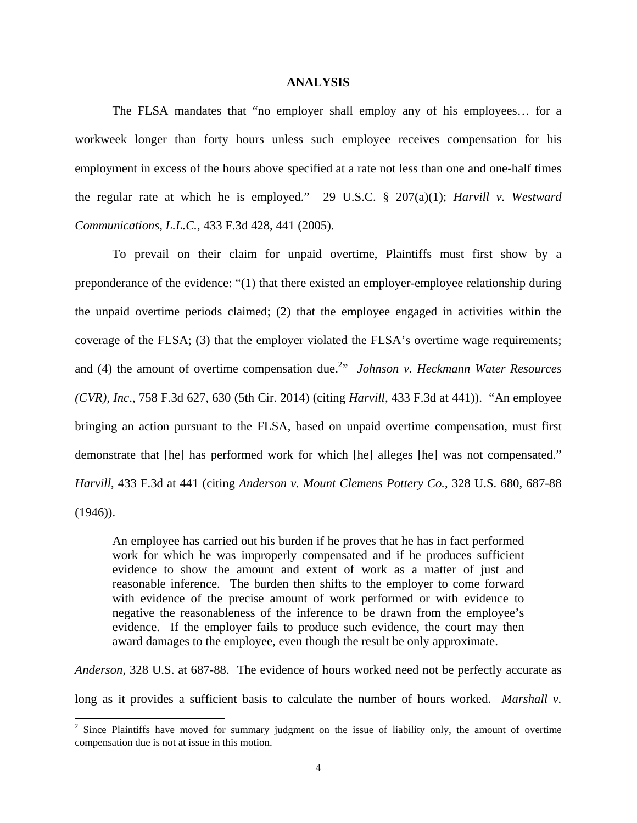#### **ANALYSIS**

 The FLSA mandates that "no employer shall employ any of his employees… for a workweek longer than forty hours unless such employee receives compensation for his employment in excess of the hours above specified at a rate not less than one and one-half times the regular rate at which he is employed." 29 U.S.C. § 207(a)(1); *Harvill v. Westward Communications, L.L.C.*, 433 F.3d 428, 441 (2005).

 To prevail on their claim for unpaid overtime, Plaintiffs must first show by a preponderance of the evidence: "(1) that there existed an employer-employee relationship during the unpaid overtime periods claimed; (2) that the employee engaged in activities within the coverage of the FLSA; (3) that the employer violated the FLSA's overtime wage requirements; and (4) the amount of overtime compensation due.<sup>2</sup>*Mohnson v. Heckmann Water Resources (CVR), Inc*., 758 F.3d 627, 630 (5th Cir. 2014) (citing *Harvill*, 433 F.3d at 441)). "An employee bringing an action pursuant to the FLSA, based on unpaid overtime compensation, must first demonstrate that [he] has performed work for which [he] alleges [he] was not compensated." *Harvill*, 433 F.3d at 441 (citing *Anderson v. Mount Clemens Pottery Co.*, 328 U.S. 680, 687-88 (1946)).

An employee has carried out his burden if he proves that he has in fact performed work for which he was improperly compensated and if he produces sufficient evidence to show the amount and extent of work as a matter of just and reasonable inference. The burden then shifts to the employer to come forward with evidence of the precise amount of work performed or with evidence to negative the reasonableness of the inference to be drawn from the employee's evidence. If the employer fails to produce such evidence, the court may then award damages to the employee, even though the result be only approximate.

*Anderson*, 328 U.S. at 687-88. The evidence of hours worked need not be perfectly accurate as

long as it provides a sufficient basis to calculate the number of hours worked. *Marshall v.* 

<sup>&</sup>lt;sup>2</sup> Since Plaintiffs have moved for summary judgment on the issue of liability only, the amount of overtime compensation due is not at issue in this motion.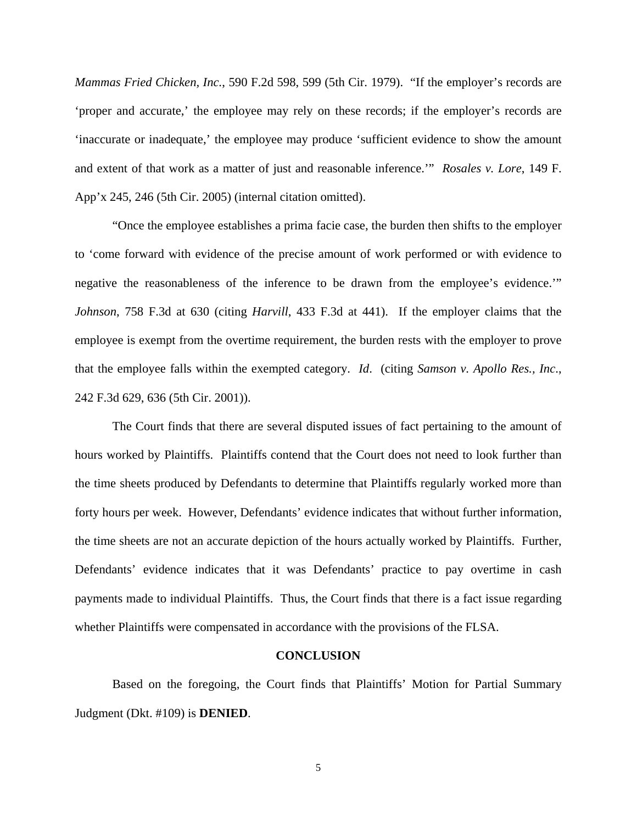*Mammas Fried Chicken, Inc.*, 590 F.2d 598, 599 (5th Cir. 1979). "If the employer's records are 'proper and accurate,' the employee may rely on these records; if the employer's records are 'inaccurate or inadequate,' the employee may produce 'sufficient evidence to show the amount and extent of that work as a matter of just and reasonable inference.'" *Rosales v. Lore*, 149 F. App'x 245, 246 (5th Cir. 2005) (internal citation omitted).

 "Once the employee establishes a prima facie case, the burden then shifts to the employer to 'come forward with evidence of the precise amount of work performed or with evidence to negative the reasonableness of the inference to be drawn from the employee's evidence." *Johnson*, 758 F.3d at 630 (citing *Harvill*, 433 F.3d at 441). If the employer claims that the employee is exempt from the overtime requirement, the burden rests with the employer to prove that the employee falls within the exempted category. *Id*. (citing *Samson v. Apollo Res., Inc*., 242 F.3d 629, 636 (5th Cir. 2001)).

 The Court finds that there are several disputed issues of fact pertaining to the amount of hours worked by Plaintiffs. Plaintiffs contend that the Court does not need to look further than the time sheets produced by Defendants to determine that Plaintiffs regularly worked more than forty hours per week. However, Defendants' evidence indicates that without further information, the time sheets are not an accurate depiction of the hours actually worked by Plaintiffs. Further, Defendants' evidence indicates that it was Defendants' practice to pay overtime in cash payments made to individual Plaintiffs. Thus, the Court finds that there is a fact issue regarding whether Plaintiffs were compensated in accordance with the provisions of the FLSA.

### **CONCLUSION**

 Based on the foregoing, the Court finds that Plaintiffs' Motion for Partial Summary Judgment (Dkt. #109) is **DENIED**.

5